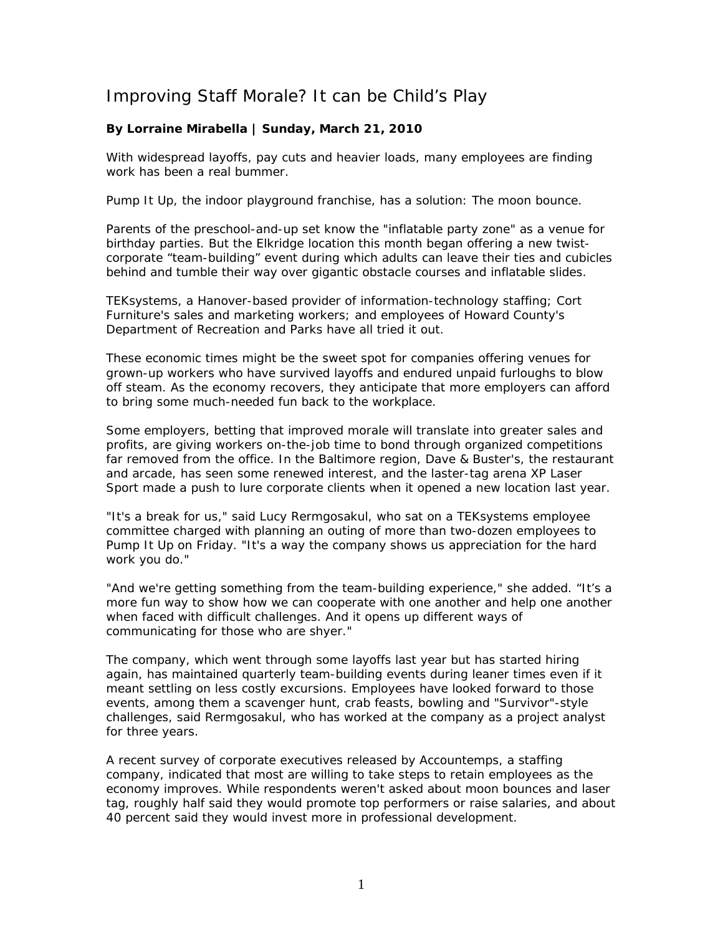## Improving Staff Morale? It can be Child's Play

## **By Lorraine Mirabella | Sunday, March 21, 2010**

With widespread layoffs, pay cuts and heavier loads, many employees are finding work has been a real bummer.

Pump It Up, the indoor playground franchise, has a solution: The moon bounce.

Parents of the preschool-and-up set know the "inflatable party zone" as a venue for birthday parties. But the Elkridge location this month began offering a new twistcorporate "team-building" event during which adults can leave their ties and cubicles behind and tumble their way over gigantic obstacle courses and inflatable slides.

TEKsystems, a Hanover-based provider of information-technology staffing; Cort Furniture's sales and marketing workers; and employees of Howard County's Department of Recreation and Parks have all tried it out.

These economic times might be the sweet spot for companies offering venues for grown-up workers who have survived layoffs and endured unpaid furloughs to blow off steam. As the economy recovers, they anticipate that more employers can afford to bring some much-needed fun back to the workplace.

Some employers, betting that improved morale will translate into greater sales and profits, are giving workers on-the-job time to bond through organized competitions far removed from the office. In the Baltimore region, Dave & Buster's, the restaurant and arcade, has seen some renewed interest, and the laster-tag arena XP Laser Sport made a push to lure corporate clients when it opened a new location last year.

"It's a break for us," said Lucy Rermgosakul, who sat on a TEKsystems employee committee charged with planning an outing of more than two-dozen employees to Pump It Up on Friday. "It's a way the company shows us appreciation for the hard work you do."

"And we're getting something from the team-building experience," she added. "It's a more fun way to show how we can cooperate with one another and help one another when faced with difficult challenges. And it opens up different ways of communicating for those who are shyer."

The company, which went through some layoffs last year but has started hiring again, has maintained quarterly team-building events during leaner times even if it meant settling on less costly excursions. Employees have looked forward to those events, among them a scavenger hunt, crab feasts, bowling and "Survivor"-style challenges, said Rermgosakul, who has worked at the company as a project analyst for three years.

A recent survey of corporate executives released by Accountemps, a staffing company, indicated that most are willing to take steps to retain employees as the economy improves. While respondents weren't asked about moon bounces and laser tag, roughly half said they would promote top performers or raise salaries, and about 40 percent said they would invest more in professional development.